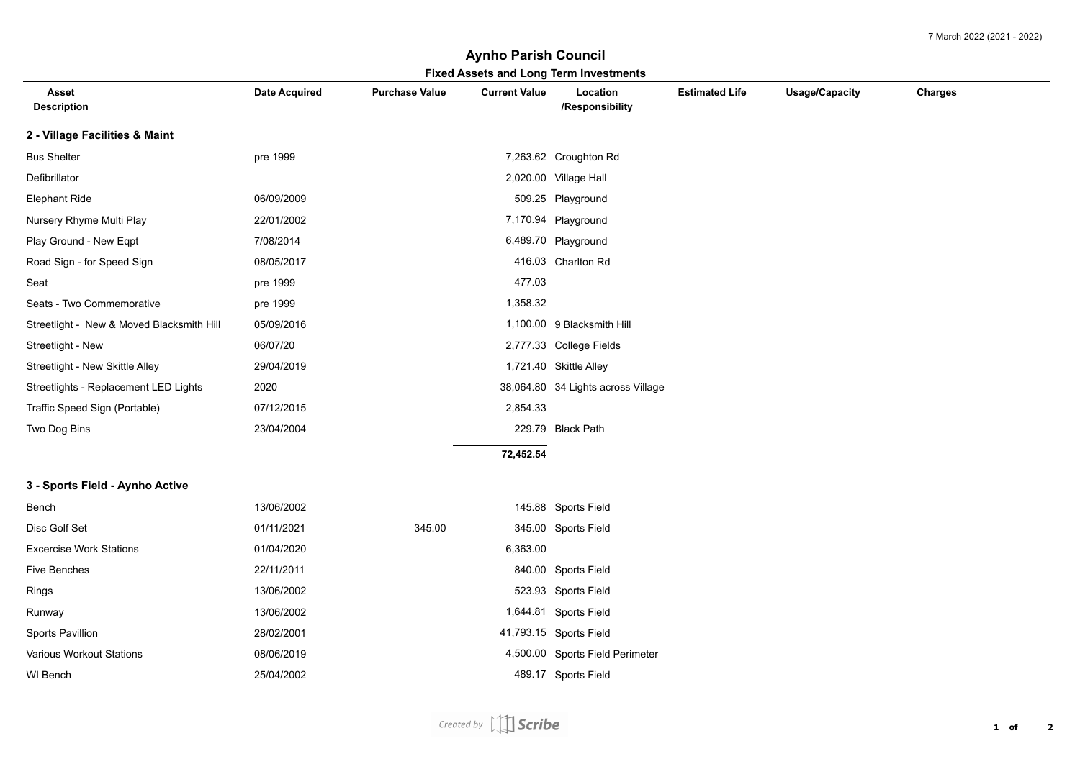## **Fixed Assets and Long Term Investments Aynho Parish Council**

| Fixed Assets and Long Term investments<br><b>Current Value</b><br>Location<br><b>Estimated Life</b><br><b>Usage/Capacity</b><br>Charges<br>Asset<br><b>Date Acquired</b><br><b>Purchase Value</b> |            |        |           |                                    |  |  |  |
|---------------------------------------------------------------------------------------------------------------------------------------------------------------------------------------------------|------------|--------|-----------|------------------------------------|--|--|--|
| <b>Description</b>                                                                                                                                                                                |            |        |           | /Responsibility                    |  |  |  |
| 2 - Village Facilities & Maint                                                                                                                                                                    |            |        |           |                                    |  |  |  |
| <b>Bus Shelter</b>                                                                                                                                                                                | pre 1999   |        |           | 7,263.62 Croughton Rd              |  |  |  |
| Defibrillator                                                                                                                                                                                     |            |        |           | 2,020.00 Village Hall              |  |  |  |
| <b>Elephant Ride</b>                                                                                                                                                                              | 06/09/2009 |        |           | 509.25 Playground                  |  |  |  |
| Nursery Rhyme Multi Play                                                                                                                                                                          | 22/01/2002 |        |           | 7,170.94 Playground                |  |  |  |
| Play Ground - New Eqpt                                                                                                                                                                            | 7/08/2014  |        |           | 6,489.70 Playground                |  |  |  |
| Road Sign - for Speed Sign                                                                                                                                                                        | 08/05/2017 |        |           | 416.03 Charlton Rd                 |  |  |  |
| Seat                                                                                                                                                                                              | pre 1999   |        | 477.03    |                                    |  |  |  |
| Seats - Two Commemorative                                                                                                                                                                         | pre 1999   |        | 1,358.32  |                                    |  |  |  |
| Streetlight - New & Moved Blacksmith Hill                                                                                                                                                         | 05/09/2016 |        |           | 1,100.00 9 Blacksmith Hill         |  |  |  |
| Streetlight - New                                                                                                                                                                                 | 06/07/20   |        |           | 2,777.33 College Fields            |  |  |  |
| Streetlight - New Skittle Alley                                                                                                                                                                   | 29/04/2019 |        |           | 1,721.40 Skittle Alley             |  |  |  |
| Streetlights - Replacement LED Lights                                                                                                                                                             | 2020       |        |           | 38,064.80 34 Lights across Village |  |  |  |
| Traffic Speed Sign (Portable)                                                                                                                                                                     | 07/12/2015 |        | 2,854.33  |                                    |  |  |  |
| Two Dog Bins                                                                                                                                                                                      | 23/04/2004 |        |           | 229.79 Black Path                  |  |  |  |
|                                                                                                                                                                                                   |            |        | 72,452.54 |                                    |  |  |  |
| 3 - Sports Field - Aynho Active                                                                                                                                                                   |            |        |           |                                    |  |  |  |
| Bench                                                                                                                                                                                             | 13/06/2002 |        |           | 145.88 Sports Field                |  |  |  |
| Disc Golf Set                                                                                                                                                                                     | 01/11/2021 | 345.00 |           | 345.00 Sports Field                |  |  |  |
| <b>Excercise Work Stations</b>                                                                                                                                                                    | 01/04/2020 |        | 6,363.00  |                                    |  |  |  |
| <b>Five Benches</b>                                                                                                                                                                               | 22/11/2011 |        |           | 840.00 Sports Field                |  |  |  |
| Rings                                                                                                                                                                                             | 13/06/2002 |        |           | 523.93 Sports Field                |  |  |  |
| Runway                                                                                                                                                                                            | 13/06/2002 |        |           | 1,644.81 Sports Field              |  |  |  |
| Sports Pavillion                                                                                                                                                                                  | 28/02/2001 |        |           | 41,793.15 Sports Field             |  |  |  |
| <b>Various Workout Stations</b>                                                                                                                                                                   | 08/06/2019 |        |           | 4,500.00 Sports Field Perimeter    |  |  |  |
| WI Bench                                                                                                                                                                                          | 25/04/2002 |        |           | 489.17 Sports Field                |  |  |  |
|                                                                                                                                                                                                   |            |        |           |                                    |  |  |  |